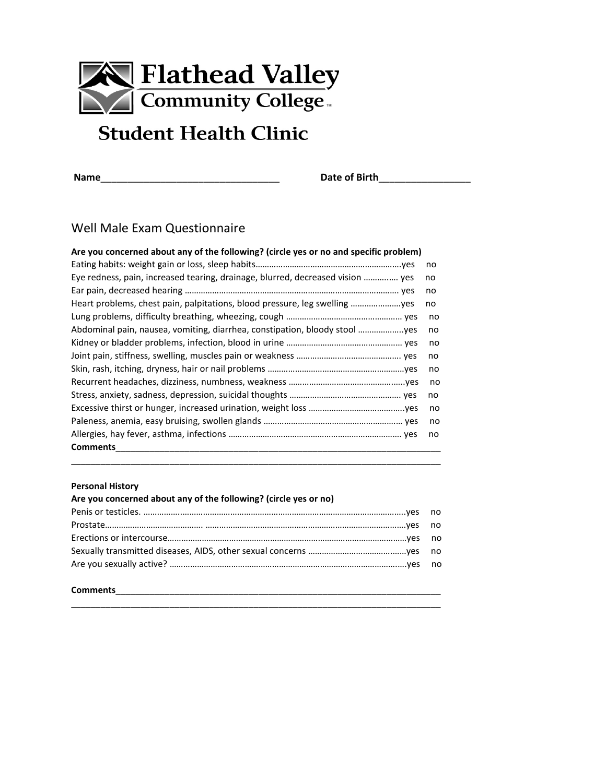

# **Student Health Clinic**

**Name**\_\_\_\_\_\_\_\_\_\_\_\_\_\_\_\_\_\_\_\_\_\_\_\_\_\_\_\_\_\_\_\_\_ **Date of Birth**\_\_\_\_\_\_\_\_\_\_\_\_\_\_\_\_\_

# Well Male Exam Questionnaire

| Are you concerned about any of the following? (circle yes or no and specific problem) |    |
|---------------------------------------------------------------------------------------|----|
|                                                                                       | no |
| Eye redness, pain, increased tearing, drainage, blurred, decreased vision  yes        | no |
|                                                                                       | no |
|                                                                                       | no |
|                                                                                       | no |
| Abdominal pain, nausea, vomiting, diarrhea, constipation, bloody stool yes            | no |
|                                                                                       | no |
|                                                                                       | no |
|                                                                                       | no |
|                                                                                       | no |
|                                                                                       | no |
|                                                                                       | no |
|                                                                                       | no |
|                                                                                       | no |
| <b>Comments</b>                                                                       |    |

#### **Personal History**

| Are you concerned about any of the following? (circle yes or no) |  |
|------------------------------------------------------------------|--|
|                                                                  |  |
|                                                                  |  |
|                                                                  |  |
|                                                                  |  |
|                                                                  |  |

\_\_\_\_\_\_\_\_\_\_\_\_\_\_\_\_\_\_\_\_\_\_\_\_\_\_\_\_\_\_\_\_\_\_\_\_\_\_\_\_\_\_\_\_\_\_\_\_\_\_\_\_\_\_\_\_\_\_\_\_\_\_\_\_\_\_\_\_\_\_\_\_\_\_\_

\_\_\_\_\_\_\_\_\_\_\_\_\_\_\_\_\_\_\_\_\_\_\_\_\_\_\_\_\_\_\_\_\_\_\_\_\_\_\_\_\_\_\_\_\_\_\_\_\_\_\_\_\_\_\_\_\_\_\_\_\_\_\_\_\_\_\_\_\_\_\_\_\_\_\_

## **Comments**\_\_\_\_\_\_\_\_\_\_\_\_\_\_\_\_\_\_\_\_\_\_\_\_\_\_\_\_\_\_\_\_\_\_\_\_\_\_\_\_\_\_\_\_\_\_\_\_\_\_\_\_\_\_\_\_\_\_\_\_\_\_\_\_\_\_